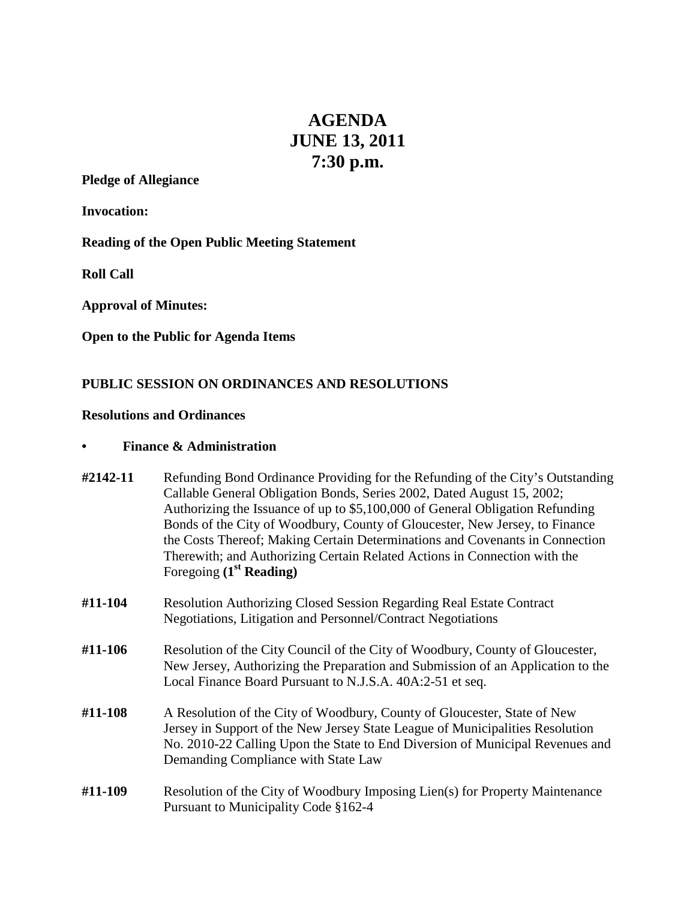# **AGENDA JUNE 13, 2011 7:30 p.m.**

# **Pledge of Allegiance**

**Invocation:**

**Reading of the Open Public Meeting Statement**

**Roll Call**

**Approval of Minutes:**

**Open to the Public for Agenda Items**

## **PUBLIC SESSION ON ORDINANCES AND RESOLUTIONS**

#### **Resolutions and Ordinances**

## **• Finance & Administration**

| #2142-11 | Refunding Bond Ordinance Providing for the Refunding of the City's Outstanding<br>Callable General Obligation Bonds, Series 2002, Dated August 15, 2002;<br>Authorizing the Issuance of up to \$5,100,000 of General Obligation Refunding<br>Bonds of the City of Woodbury, County of Gloucester, New Jersey, to Finance<br>the Costs Thereof; Making Certain Determinations and Covenants in Connection<br>Therewith; and Authorizing Certain Related Actions in Connection with the<br>Foregoing $(1st Reading)$ |
|----------|--------------------------------------------------------------------------------------------------------------------------------------------------------------------------------------------------------------------------------------------------------------------------------------------------------------------------------------------------------------------------------------------------------------------------------------------------------------------------------------------------------------------|
| #11-104  | <b>Resolution Authorizing Closed Session Regarding Real Estate Contract</b><br>Negotiations, Litigation and Personnel/Contract Negotiations                                                                                                                                                                                                                                                                                                                                                                        |
| #11-106  | Resolution of the City Council of the City of Woodbury, County of Gloucester,<br>New Jersey, Authorizing the Preparation and Submission of an Application to the<br>Local Finance Board Pursuant to N.J.S.A. 40A:2-51 et seq.                                                                                                                                                                                                                                                                                      |
| #11-108  | A Resolution of the City of Woodbury, County of Gloucester, State of New<br>Jersey in Support of the New Jersey State League of Municipalities Resolution<br>No. 2010-22 Calling Upon the State to End Diversion of Municipal Revenues and                                                                                                                                                                                                                                                                         |

**#11-109** Resolution of the City of Woodbury Imposing Lien(s) for Property Maintenance Pursuant to Municipality Code §162-4

Demanding Compliance with State Law